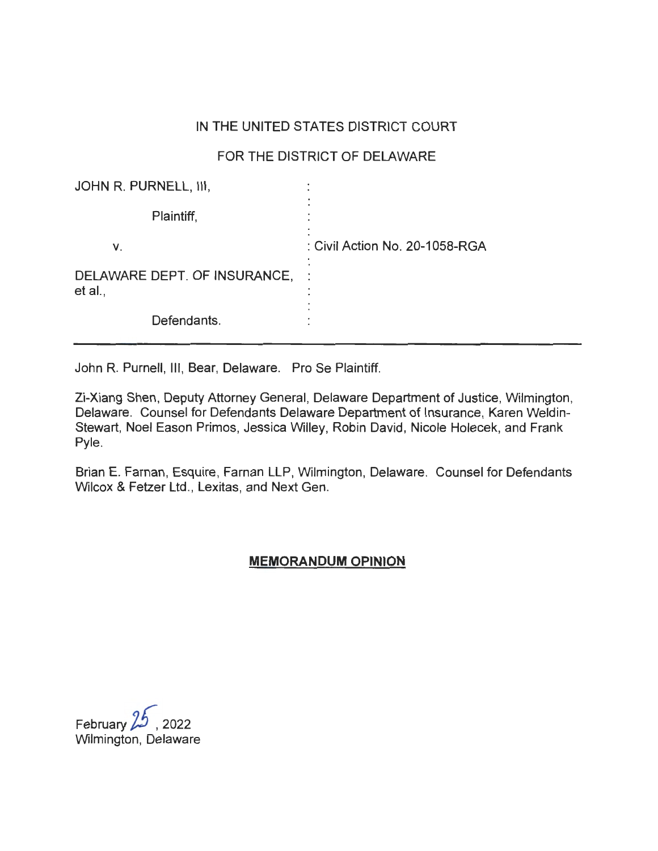# IN THE UNITED STATES DISTRICT COURT

# FOR THE DISTRICT OF DELAWARE

| JOHN R. PURNELL, III,                   |                                |
|-----------------------------------------|--------------------------------|
| Plaintiff,                              |                                |
| ν.                                      | : Civil Action No. 20-1058-RGA |
| DELAWARE DEPT. OF INSURANCE,<br>et al., |                                |
| Defendants.                             |                                |

John R. Purnell, Ill, Bear, Delaware. Pro Se Plaintiff.

Zi-Xiang Shen, Deputy Attorney General, Delaware Department of Justice, Wilmington, Delaware. Counsel for Defendants Delaware Department of Insurance, Karen Weldin-Stewart, Noel Eason Primos, Jessica Willey, Robin David, Nicole Holecek, and Frank Pyle.

Brian E. Farnan, Esquire, Farnan LLP, Wilmington, Delaware. Counsel for Defendants Wilcox & Fetzer Ltd., Lexitas, and Next Gen.

## **MEMORANDUM OPINION**

February  $25$ , 2022 Wilmington, Delaware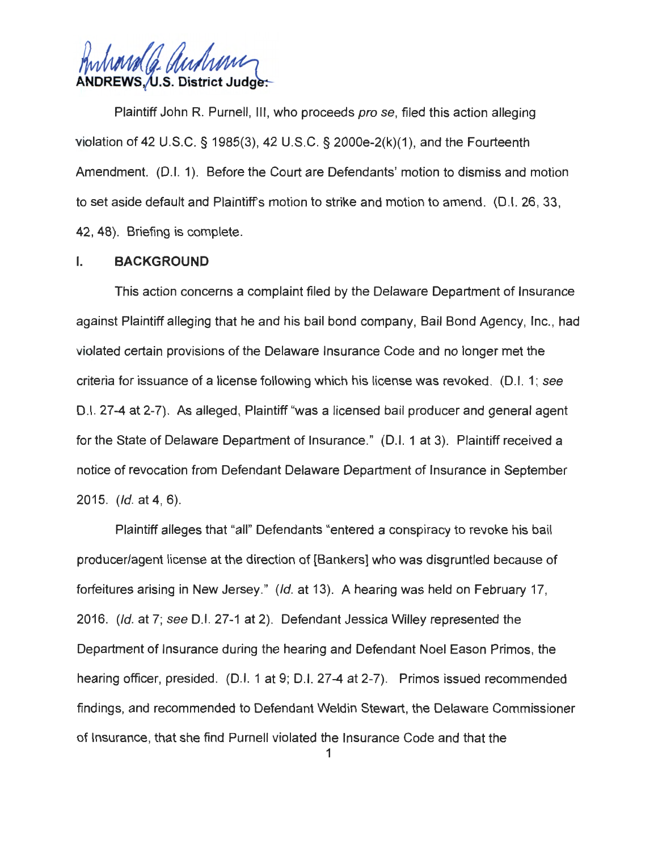hard Ca audrani **~ s. District Judg** .

Plaintiff John R. Purnell, III, who proceeds pro se, filed this action alleging violation of 42 U.S.C. § 1985(3), 42 U.S.C. § 2000e-2(k)(1 ), and the Fourteenth Amendment. (0.1. 1). Before the Court are Defendants' motion to dismiss and motion to set aside default and Plaintiffs motion to strike and motion to amend. (0.1. 26, 33, 42, 48). Briefing is complete.

#### I. **BACKGROUND**

This action concerns a complaint filed by the Delaware Department of Insurance against Plaintiff alleging that he and his bail bond company, Bail Bond Agency, Inc., had violated certain provisions of the Delaware Insurance Code and no longer met the criteria for issuance of a license following which his license was revoked. (D.I. 1; see 0 .1. 27-4 at 2-7). As alleged, Plaintiff "was a licensed bail producer and general agent for the State of Delaware Department of Insurance." (0.1. 1 at 3). Plaintiff received a notice of revocation from Defendant Delaware Department of Insurance in September 2015. (Id. at 4, 6).

Plaintiff alleges that "all" Defendants "entered a conspiracy to revoke his bail producer/agent license at the direction of [Bankers] who was disgruntled because of forfeitures arising in New Jersey." (Id. at 13). A hearing was held on February 17, 2016. (Id. at 7; see D.I. 27-1 at 2). Defendant Jessica Willey represented the Department of Insurance during the hearing and Defendant Noel Eason Primos, the hearing officer, presided. (D.I. 1 at 9; D.I. 27-4 at 2-7). Primos issued recommended findings, and recommended to Defendant Weldin Stewart, the Delaware Commissioner of Insurance, that she find Purnell violated the Insurance Code and that the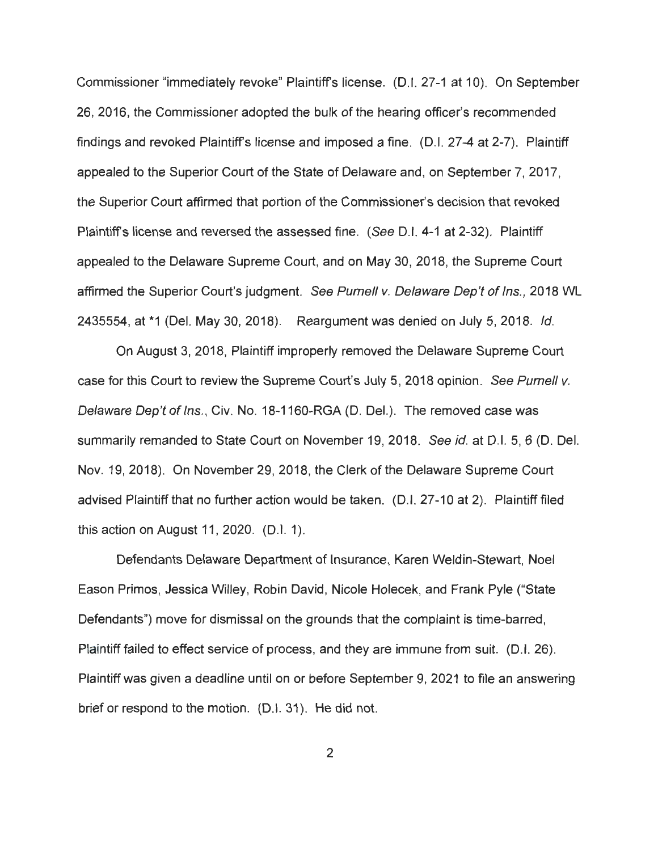Commissioner "immediately revoke" Plaintiff's license. (0.1. 27-1 at 10). On September 26, 2016, the Commissioner adopted the bulk of the hearing officer's recommended findings and revoked Plaintiff's license and imposed a fine. (D.I. 27-4 at 2-7). Plaintiff appealed to the Superior Court of the State of Delaware and, on September 7, 2017, the Superior Court affirmed that portion of the Commissioner's decision that revoked Plaintiff's license and reversed the assessed fine. (See D.I. 4-1 at 2-32). Plaintiff appealed to the Delaware Supreme Court, and on May 30, 2018, the Supreme Court affirmed the Superior Court's judgment. See Purnell v. Delaware Dep't of Ins., 2018 WL 2435554, at \*1 (Del. May 30, 2018). Reargument was denied on July 5, 2018. Id.

On August 3, 2018, Plaintiff improperly removed the Delaware Supreme Court case for this Court to review the Supreme Court's July 5, 2018 opinion. See Purnell v. Delaware Dep't of Ins., Civ. No. 18-1160-RGA (D. Del.). The removed case was summarily remanded to State Court on November 19, 2018. See *id.* at 0 .1. 5, 6 (D. Del. Nov. 19, 2018). On November 29, 2018, the Clerk of the Delaware Supreme Court advised Plaintiff that no further action would be taken. (0.1. 27-10 at 2). Plaintiff filed this action on August 11 , 2020. (0.1. 1).

Defendants Delaware Department of Insurance, Karen Weldin-Stewart, Noel Eason Primos, Jessica Willey, Robin David , Nicole Holecek, and Frank Pyle ("State Defendants") move for dismissal on the grounds that the complaint is time-barred, Plaintiff failed to effect service of process, and they are immune from suit. (0.1. 26). Plaintiff was given a deadline until on or before September 9, 2021 to file an answering brief or respond to the motion. (0.1. 31). He did not.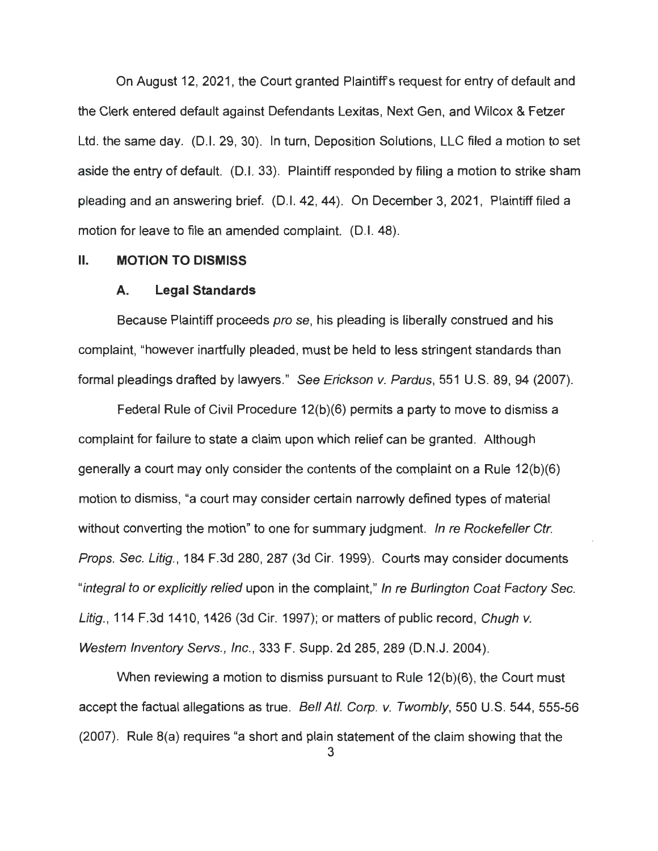On August 12, 2021 , the Court granted Plaintiff's request for entry of default and the Clerk entered default against Defendants Lexitas, Next Gen, and Wilcox & Fetzer Ltd. the same day. (D.I. 29, 30). In turn, Deposition Solutions, LLC filed a motion to set aside the entry of default. (0.1. 33). Plaintiff responded by filing a motion to strike sham pleading and an answering brief. (D.I. 42, 44). On December 3, 2021 , Plaintiff filed a motion for leave to file an amended complaint. (D.I. 48).

#### II. **MOTION TO DISMISS**

#### **A. Legal Standards**

Because Plaintiff proceeds pro se, his pleading is liberally construed and his complaint, "however inartfully pleaded, must be held to less stringent standards than formal pleadings drafted by lawyers." See Erickson v. Pardus, 551 U.S. 89, 94 (2007).

Federal Rule of Civil Procedure 12(b)(6) permits a party to move to dismiss a complaint for failure to state a claim upon which relief can be granted. Although generally a court may only consider the contents of the complaint on a Rule 12(b)(6) motion to dismiss, "a court may consider certain narrowly defined types of material without converting the motion" to one for summary judgment. In re Rockefeller Ctr. Props. Sec. Litig., 184 F.3d 280, 287 (3d Cir. 1999). Courts may consider documents "integral to or explicitly relied upon in the complaint," In re Burlington Coat Factory Sec. Litig., 114 F.3d 1410, 1426 (3d Cir. 1997); or matters of public record, Chugh v. Western Inventory Servs., Inc., 333 F. Supp. 2d 285, 289 (D.N .J. 2004).

When reviewing a motion to dismiss pursuant to  $R_{\text{u}}$ e 12(b)(6), the Court must accept the factual allegations as true. Bell Atl. Corp. v. Twombly, 550 U.S. 544, 555-56 (2007). Rule 8(a) requires "a short and plain statement of the claim showing that the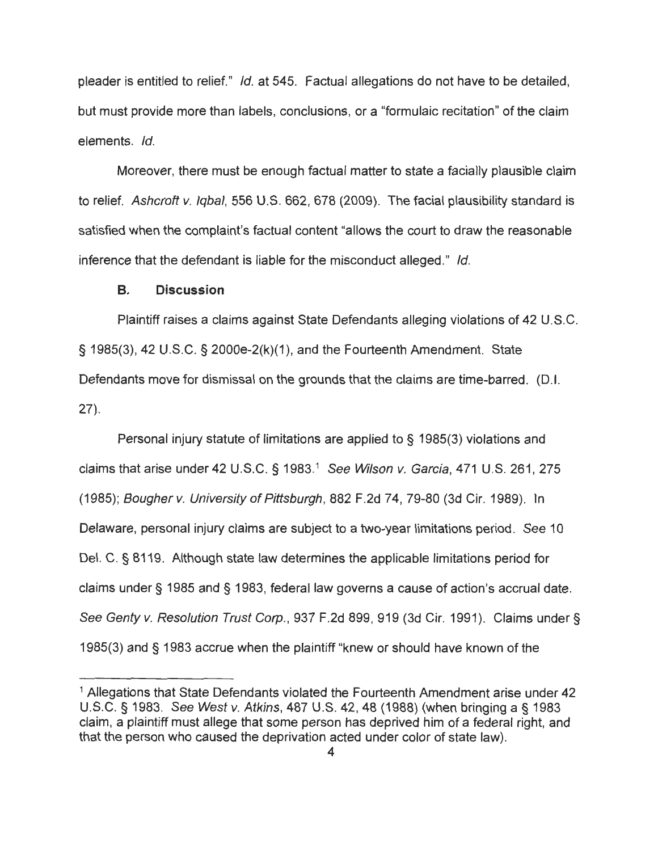pleader is entitled to relief." Id. at 545. Factual allegations do not have to be detailed, but must provide more than labels, conclusions, or a "formulaic recitation" of the claim elements. Id.

Moreover, there must be enough factual matter to state a facially plausible claim to relief. Ashcroft v. Iqbal, 556 U.S. 662, 678 (2009). The facial plausibility standard is satisfied when the complaint's factual content "allows the court to draw the reasonable inference that the defendant is liable for the misconduct alleged." Id.

### **B. Discussion**

Plaintiff raises a claims against State Defendants alleging violations of 42 U.S.C. § 1985(3), 42 U.S.C. § 2000e-2(k)(1 ), and the Fourteenth Amendment. State Defendants move for dismissal on the grounds that the claims are time-barred. (D.I. 27).

Personal injury statute of limitations are applied to § 1985(3) violations and claims that arise under 42 U.S.C. § 1983.<sup>1</sup> See Wilson v. Garcia, 471 U.S. 261, 275 (1985); Bougherv. University of Pittsburgh, 882 F.2d 74, 79-80 (3d Cir. 1989). In Delaware, personal injury claims are subject to a two-year limitations period. See 10 Del. C. § 8119. Although state law determines the applicable limitations period for claims under§ 1985 and § 1983, federal law governs a cause of action's accrual date. See Genty v. Resolution Trust Corp., 937 F.2d 899, 919 (3d Cir. 1991). Claims under § 1985(3) and § 1983 accrue when the plaintiff "knew or should have known of the

<sup>&</sup>lt;sup>1</sup> Allegations that State Defendants violated the Fourteenth Amendment arise under 42 U.S.C. § 1983. See West v. Atkins, 487 U.S. 42, 48 (1988) (when bringing a§ 1983 claim, a plaintiff must allege that some person has deprived him of a federal right, and that the person who caused the deprivation acted under color of state law).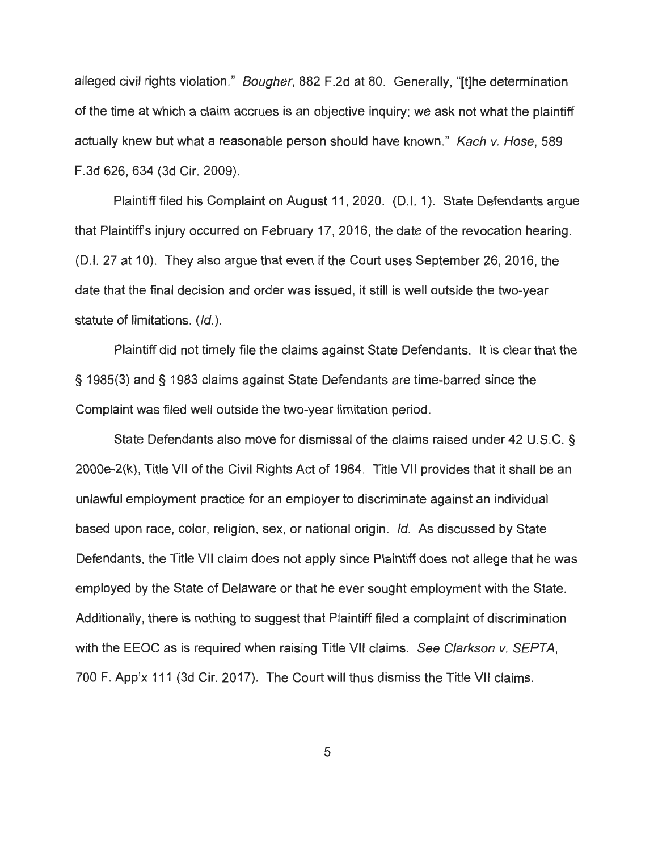alleged civil rights violation." Bougher, 882 F.2d at 80. Generally, "[t]he determination of the time at which a claim accrues is an objective inquiry; we ask not what the plaintiff actually knew but what a reasonable person should have known." Kach v. Hose, 589 F.3d 626, 634 (3d Cir. 2009).

Plaintiff filed his Complaint on August 11, 2020. (D.I. 1). State Defendants argue that Plaintiffs injury occurred on February 17, 2016, the date of the revocation hearing. (0.1. 27 at 10). They also argue that even if the Court uses September 26, 2016, the date that the final decision and order was issued , it still is well outside the two-year statute of limitations. (Id.).

Plaintiff did not timely file the claims against State Defendants. It is clear that the § 1985(3) and § 1983 claims against State Defendants are time-barred since the Complaint was filed well outside the two-year limitation period.

State Defendants also move for dismissal of the claims raised under 42 U.S.C. § 2000e-2(k), Title VII of the Civil Rights Act of 1964. Title VII provides that it shall be an unlawful employment practice for an employer to discriminate against an individual based upon race, color, religion, sex, or national origin. Id. As discussed by State Defendants, the Title VII claim does not apply since Plaintiff does not allege that he was employed by the State of Delaware or that he ever sought employment with the State. Additionally, there is nothing to suggest that Plaintiff filed a complaint of discrimination with the EEOC as is required when raising Title VII claims. See Clarkson v. SEPTA, 700 F. App'x 111 (3d Cir. 2017). The Court will thus dismiss the Title VII claims.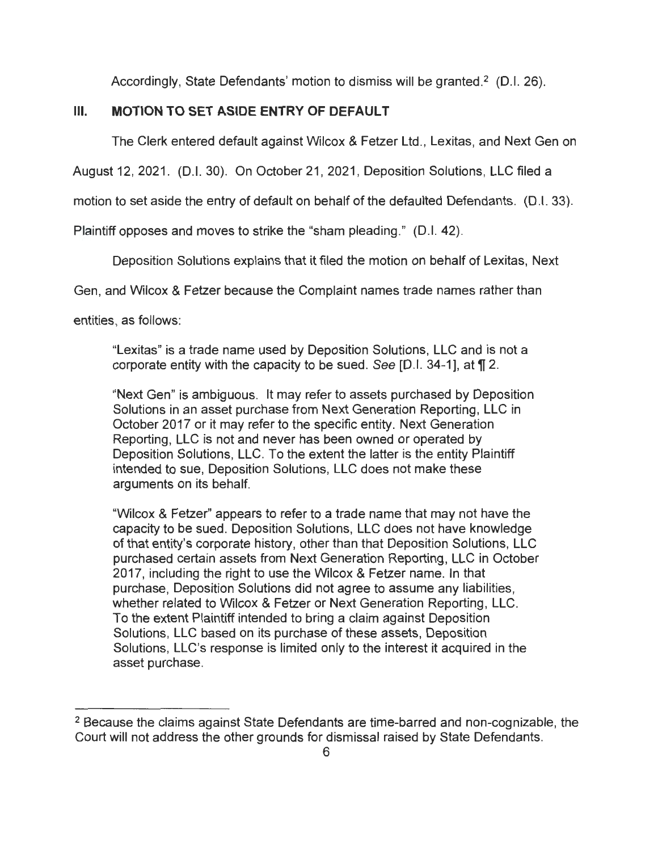Accordingly, State Defendants' motion to dismiss will be granted.<sup>2</sup> (D.I. 26).

## **Ill. MOTION TO SET ASIDE ENTRY OF DEFAULT**

The Clerk entered default against Wilcox & Fetzer Ltd., Lexitas, and Next Gen on

August 12, 2021. (D.I. 30). On October 21, 2021, Deposition Solutions, LLC filed a

motion to set aside the entry of default on behalf of the defaulted Defendants. (D.I. 33).

Plaintiff opposes and moves to strike the "sham pleading." (D.I. 42).

Deposition Solutions explains that it filed the motion on behalf of Lexitas, Next

Gen, and Wilcox & Fetzer because the Complaint names trade names rather than

entities, as follows :

"Lexitas" is a trade name used by Deposition Solutions, LLC and is not a corporate entity with the capacity to be sued. See [D.I. 34-1], at **\|** 2.

"Next Gen" is ambiguous. It may refer to assets purchased by Deposition Solutions in an asset purchase from Next Generation Reporting, LLC in October 2017 or it may refer to the specific entity. Next Generation Reporting. LLC is not and never has been owned or operated by Deposition Solutions, LLC. To the extent the latter is the entity Plaintiff intended to sue, Deposition Solutions, LLC does not make these arguments on its behalf.

"Wilcox & Fetzer" appears to refer to a trade name that may not have the capacity to be sued. Deposition Solutions, LLC does not have knowledge of that entity's corporate history, other than that Deposition Solutions, LLC purchased certain assets from Next Generation Reporting, LLC in October 2017, including the right to use the Wilcox & Fetzer name. In that purchase, Deposition Solutions did not agree to assume any liabilities, whether related to Wilcox & Fetzer or Next Generation Reporting, LLC. To the extent Plaintiff intended to bring a claim against Deposition Solutions, LLC based on its purchase of these assets, Deposition Solutions, LLC's response is limited only to the interest it acquired in the asset purchase.

<sup>&</sup>lt;sup>2</sup> Because the claims against State Defendants are time-barred and non-cognizable, the Court will not address the other grounds for dismissal raised by State Defendants.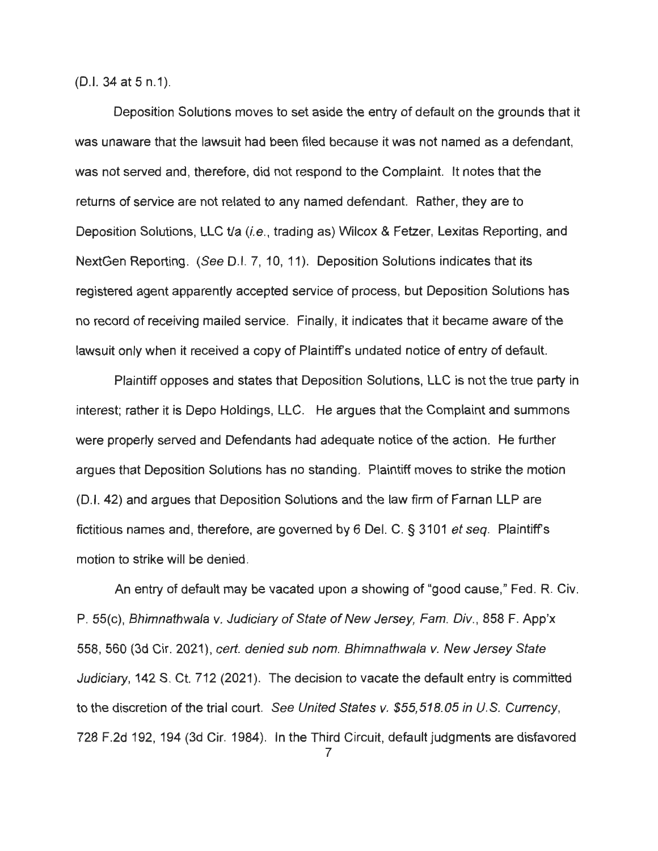(D.I. 34 at 5 n.1).

Deposition Solutions moves to set aside the entry of default on the grounds that it was unaware that the lawsuit had been filed because it was not named as a defendant, was not served and, therefore, did not respond to the Complaint. It notes that the returns of service are not related to any named defendant. Rather, they are to Deposition Solutions, LLC t/a (i.e., trading as) Wilcox & Fetzer, Lexitas Reporting, and NextGen Reporting. (See D.I. 7, 10, 11). Deposition Solutions indicates that its registered agent apparently accepted service of process, but Deposition Solutions has no record of receiving mailed service. Finally, it indicates that it became aware of the lawsuit only when it received a copy of Plaintiff's undated notice of entry of default.

Plaintiff opposes and states that Deposition Solutions, LLC is not the true party in interest; rather it is Depo Holdings, LLC. He argues that the Complaint and summons were properly served and Defendants had adequate notice of the action. He further argues that Deposition Solutions has no standing. Plaintiff moves to strike the motion (D.I. 42) and argues that Deposition Solutions and the law firm of Farnan LLP are fictitious names and, therefore, are governed by 6 Del. C. § 3101 et seq. Plaintiffs motion to strike will be denied.

An entry of default may be vacated upon a showing of "good cause," Fed. R. Civ. P. 55(c), Bhimnathwala v. Judiciary of State of New Jersey, Fam. Div., 858 F. App'x 558, 560 (3d Cir. 2021 ), cert. denied sub nom. Bhimnathwala v. New Jersey State Judiciary, 142 S. Ct. 712 (2021). The decision to vacate the default entry is committed to the discretion of the trial court. See United States v. \$55,518.05 in U.S. Currency, 728 F.2d 192, 194 (3d Cir. 1984). In the Third Circuit, default judgments are disfavored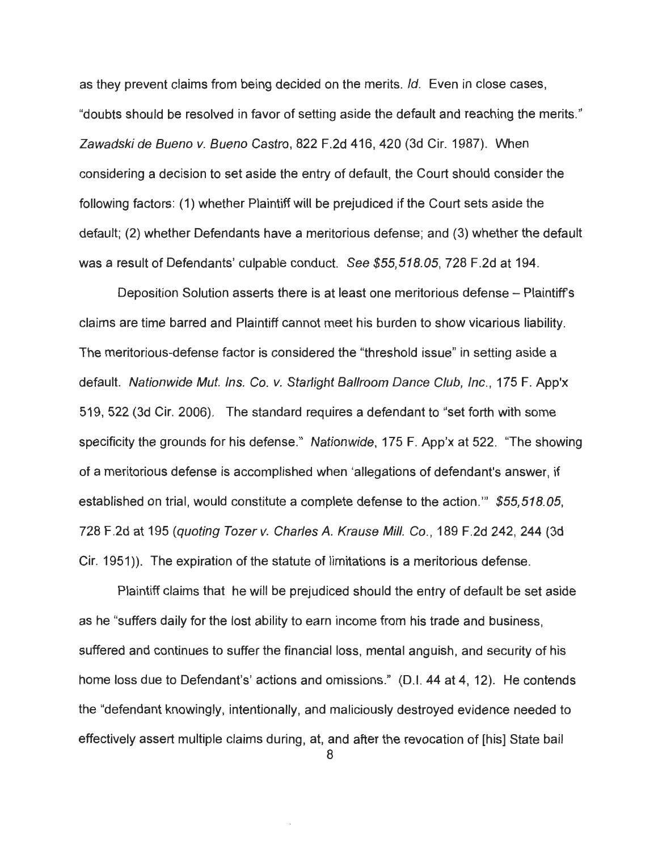as they prevent claims from being decided on the merits. Id. Even in close cases, "doubts should be resolved in favor of setting aside the default and reaching the merits." Zawadski de Bueno v. Bueno Castro, 822 F.2d 416, 420 (3d Cir. 1987). When considering a decision to set aside the entry of default, the Court should consider the following factors: (1) whether Plaintiff will be prejudiced if the Court sets aside the default; (2) whether Defendants have a meritorious defense; and (3) whether the default was a result of Defendants' culpable conduct. See \$55,518.05, 728 F.2d at 194.

Deposition Solution asserts there is at least one meritorious defense – Plaintiff's claims are time barred and Plaintiff cannot meet his burden to show vicarious liability. The meritorious-defense factor is considered the "threshold issue" in setting aside a default. Nationwide Mut. Ins. Co. v. Starlight Ballroom Dance Club, Inc., 175 F. App'x 519, 522 (3d Cir. 2006). The standard requires a defendant to "set forth with some specificity the grounds for his defense." Nationwide, 175 F. App'x at 522. "The showing of a meritorious defense is accomplished when 'allegations of defendant's answer, if established on trial, would constitute a complete defense to the action."' \$55,518.05, 728 F.2d at 195 (quoting Tozer v. Charles A. Krause Mill. Co., 189 F.2d 242, 244 (3d Cir. 1951 )). The expiration of the statute of limitations is a meritorious defense.

Plaintiff claims that he will be prejudiced should the entry of default be set aside as he "suffers daily for the lost ability to earn income from his trade and business, suffered and continues to suffer the financial loss, mental anguish, and security of his home loss due to Defendant's' actions and omissions." (D.I. 44 at 4, 12). He contends the "defendant knowingly, intentionally, and maliciously destroyed evidence needed to effectively assert multiple claims during, at, and after the revocation of [his] State bail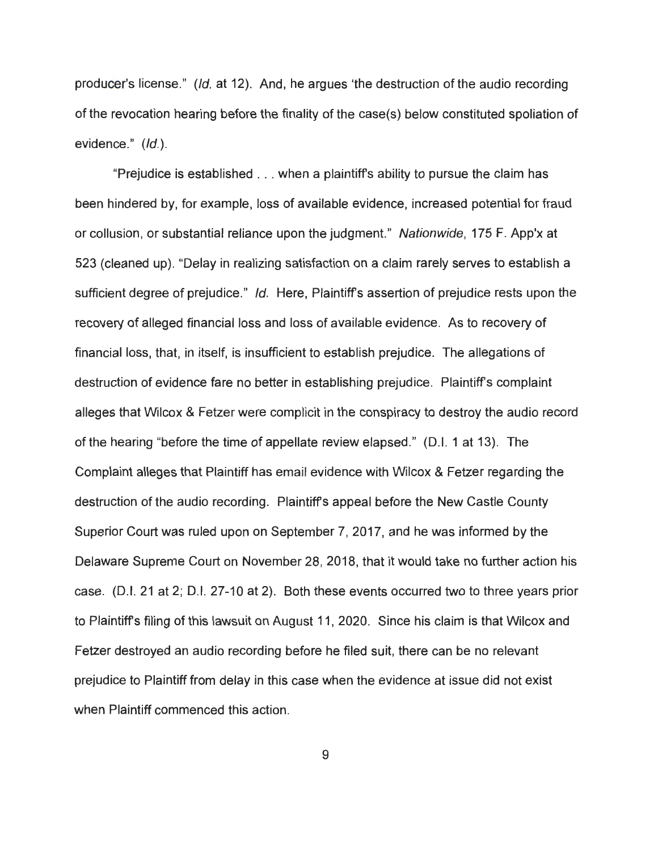producer's license." (Id. at 12). And, he argues 'the destruction of the audio recording of the revocation hearing before the finality of the case(s) below constituted spoliation of evidence." (Id.).

"Prejudice is established .. . when a plaintiffs ability to pursue the claim has been hindered by, for example, loss of available evidence, increased potential for fraud or collusion, or substantial reliance upon the judgment." Nationwide, 175 F. App'x at 523 (cleaned up). "Delay in realizing satisfaction on a claim rarely serves to establish a sufficient degree of prejudice." Id. Here, Plaintiff's assertion of prejudice rests upon the recovery of alleged financial loss and loss of available evidence. As to recovery of financial loss, that, in itself, is insufficient to establish prejudice. The allegations of destruction of evidence fare no better in establishing prejudice. Plaintiff's complaint alleges that Wilcox & Fetzer were complicit in the conspiracy to destroy the audio record of the hearing "before the time of appellate review elapsed." (0.1. 1 at 13). The Complaint alleges that Plaintiff has email evidence with Wilcox & Fetzer regarding the destruction of the audio recording. Plaintiffs appeal before the New Castle County Superior Court was ruled upon on September 7, 2017, and he was informed by the Delaware Supreme Court on November 28, 2018, that it would take no further action his case. (D.I. 21 at 2; D.I. 27-10 at 2). Both these events occurred two to three years prior to Plaintiffs filing of this lawsuit on August 11, 2020. Since his claim is that Wilcox and Fetzer destroyed an audio recording before he filed suit, there can be no relevant prejudice to Plaintiff from delay in this case when the evidence at issue did not exist when Plaintiff commenced this action.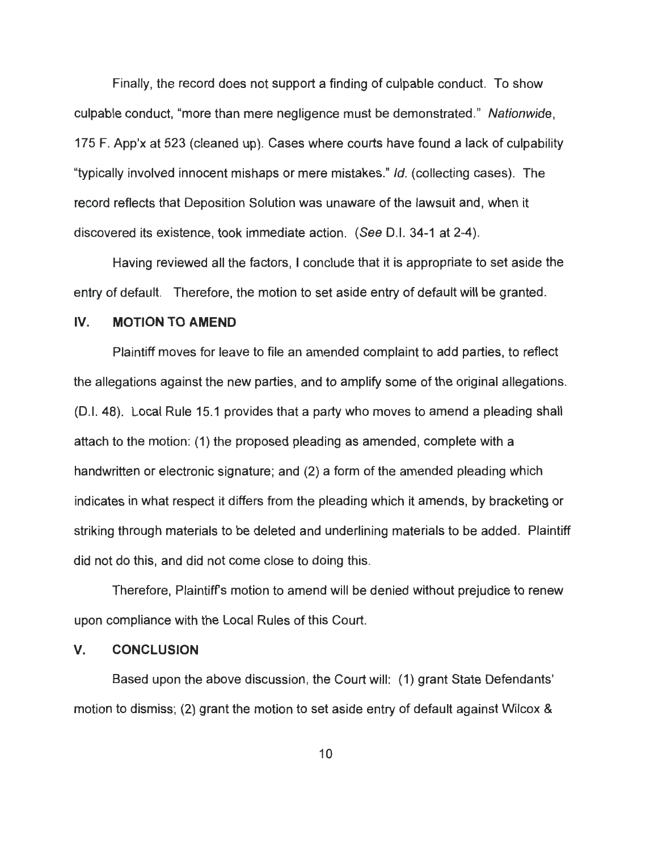Finally, the record does not support a finding of culpable conduct. To show culpable conduct, "more than mere negligence must be demonstrated." Nationwide, 175 F. App'x at 523 (cleaned up). Cases where courts have found a lack of culpability "typically involved innocent mishaps or mere mistakes." Id. (collecting cases). The record reflects that Deposition Solution was unaware of the lawsuit and, when it discovered its existence, took immediate action. (See D.I. 34-1 at 2-4).

Having reviewed all the factors, I conclude that it is appropriate to set aside the entry of default. Therefore, the motion to set aside entry of default will be granted.

#### **IV. MOTION TO AMEND**

Plaintiff moves for leave to file an amended complaint to add parties, to reflect the allegations against the new parties, and to amplify some of the original allegations. (D.I. 48). Local Rule 15.1 provides that a party who moves to amend a pleading shall attach to the motion: (1) the proposed pleading as amended, complete with a handwritten or electronic signature; and (2) a form of the amended pleading which indicates in what respect it differs from the pleading which it amends, by bracketing or striking through materials to be deleted and underlining materials to be added. Plaintiff did not do this, and did not come close to doing this.

Therefore, Plaintiff's motion to amend will be denied without prejudice to renew upon compliance with the Local Rules of this Court.

### **V. CONCLUSION**

Based upon the above discussion, the Court will: (1) grant State Defendants' motion to dismiss; (2) grant the motion to set aside entry of default against Wilcox &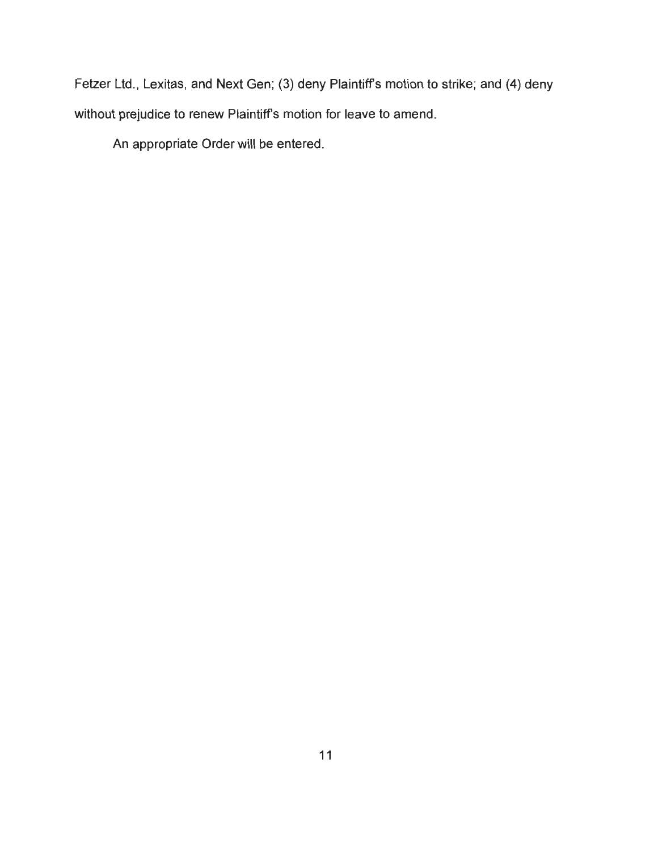Fetzer Ltd., Lexitas, and Next Gen; (3) deny Plaintiff's motion to strike; and (4) deny without prejudice to renew Plaintiff's motion for leave to amend.

An appropriate Order will be entered.